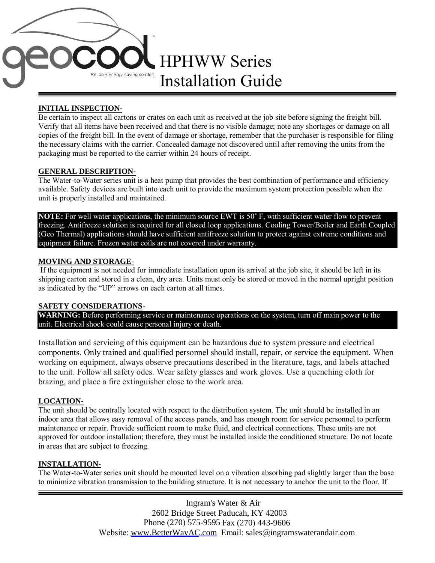

# **INITIAL INSPECTION-**

Be certain to inspect all cartons or crates on each unit as received at the job site before signing the freight bill. Verify that all items have been received and that there is no visible damage; note any shortages or damage on all copies of the freight bill. In the event of damage or shortage, remember that the purchaser is responsible for filing the necessary claims with the carrier. Concealed damage not discovered until after removing the units from the packaging must be reported to the carrier within 24 hours of receipt.

# **GENERAL DESCRIPTION-**

The Water-to-Water series unit is a heat pump that provides the best combination of performance and efficiency available. Safety devices are built into each unit to provide the maximum system protection possible when the unit is properly installed and maintained.

**NOTE:** For well water applications, the minimum source EWT is 50˚ F, with sufficient water flow to prevent freezing. Antifreeze solution is required for all closed loop applications. Cooling Tower/Boiler and Earth Coupled (Geo Thermal) applications should have sufficient antifreeze solution to protect against extreme conditions and equipment failure. Frozen water coils are not covered under warranty.

# **MOVING AND STORAGE-**

If the equipment is not needed for immediate installation upon its arrival at the job site, it should be left in its shipping carton and stored in a clean, dry area. Units must only be stored or moved in the normal upright position as indicated by the "UP" arrows on each carton at all times.

# **SAFETY CONSIDERATIONS**-

WARNING: Before performing service or maintenance operations on the system, turn off main power to the unit. Electrical shock could cause personal injury or death.

Installation and servicing of this equipment can be hazardous due to system pressure and electrical components. Only trained and qualified personnel should install, repair, or service the equipment. When working on equipment, always observe precautions described in the literature, tags, and labels attached to the unit. Follow all safety odes. Wear safety glasses and work gloves. Use a quenching cloth for brazing, and place a fire extinguisher close to the work area.

# **LOCATION-**

The unit should be centrally located with respect to the distribution system. The unit should be installed in an indoor area that allows easy removal of the access panels, and has enough room for service personnel to perform maintenance or repair. Provide sufficient room to make fluid, and electrical connections. These units are not approved for outdoor installation; therefore, they must be installed inside the conditioned structure. Do not locate in areas that are subject to freezing.

# **INSTALLATION-**

The Water-to-Water series unit should be mounted level on a vibration absorbing pad slightly larger than the base to minimize vibration transmission to the building structure. It is not necessary to anchor the unit to the floor. If

> Ingram's Water & Air 2602 Bridge Street Paducah, KY 42003 Phone (270) 575-9595 Fax (270) 443-9606 Website: [www.BetterWayAC.com](http://www.betterwayac.com/) Email: sales@ingramswaterandair.com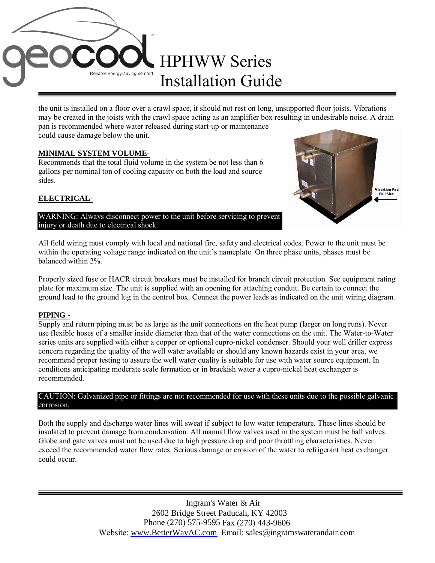

the unit is installed on a floor over a crawl space, it should not rest on long, unsupported floor joists. Vibrations may be created in the joists with the crawl space acting as an amplifier box resulting in undesirable noise. A drain pan is recommended where water released during start-up or maintenance could cause damage below the unit.

### **MINIMAL SYSTEM VOLUME-**

Recommends that the total fluid volume in the system be not less than 6 gallons per nominal ton of cooling capacity on both the load and source sides.

#### **ELECTRICAL-**



WARNING: Always disconnect power to the unit before servicing to prevent injury or death due to electrical shock.

All field wiring must comply with local and national fire, safety and electrical codes. Power to the unit must be within the operating voltage range indicated on the unit's nameplate. On three phase units, phases must be balanced within 2%.

Properly sized fuse or HACR circuit breakers must be installed for branch circuit protection. See equipment rating plate for maximum size. The unit is supplied with an opening for attaching conduit. Be certain to connect the ground lead to the ground lug in the control box. Connect the power leads as indicated on the unit wiring diagram.

#### **PIPING -**

Supply and return piping must be as large as the unit connections on the heat pump (larger on long runs). Never use flexible hoses of a smaller inside diameter than that of the water connections on the unit. The Water-to-Water series units are supplied with either a copper or optional cupro-nickel condenser. Should your well driller express concern regarding the quality of the well water available or should any known hazards exist in your area, we recommend proper testing to assure the well water quality is suitable for use with water source equipment. In conditions anticipating moderate scale formation or in brackish water a cupro-nickel heat exchanger is recommended.

#### CAUTION: Galvanized pipe or fittings are not recommended for use with these units due to the possible galvanic corrosion.

Both the supply and discharge water lines will sweat if subject to low water temperature. These lines should be insulated to prevent damage from condensation. All manual flow valves used in the system must be ball valves. Globe and gate valves must not be used due to high pressure drop and poor throttling characteristics. Never exceed the recommended water flow rates. Serious damage or erosion of the water to refrigerant heat exchanger could occur.

> Ingram's Water & Air 2602 Bridge Street Paducah, KY 42003 Phone (270) 575-9595 Fax (270) 443-9606 Website: [www.BetterWayAC.com](http://www.betterwayac.com/) Email: sales@ingramswaterandair.com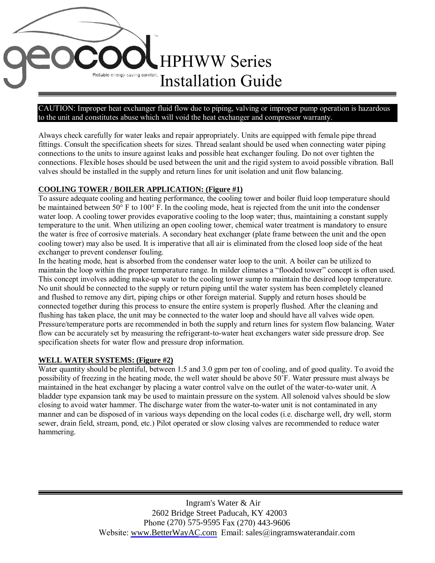# HPHWW Series Reliable energy-saving comfort Installation Guide

#### CAUTION: Improper heat exchanger fluid flow due to piping, valving or improper pump operation is hazardous to the unit and constitutes abuse which will void the heat exchanger and compressor warranty.

Always check carefully for water leaks and repair appropriately. Units are equipped with female pipe thread fittings. Consult the specification sheets for sizes. Thread sealant should be used when connecting water piping connections to the units to insure against leaks and possible heat exchanger fouling. Do not over tighten the connections. Flexible hoses should be used between the unit and the rigid system to avoid possible vibration. Ball valves should be installed in the supply and return lines for unit isolation and unit flow balancing.

# **COOLING TOWER / BOILER APPLICATION: (Figure #1)**

To assure adequate cooling and heating performance, the cooling tower and boiler fluid loop temperature should be maintained between 50° F to 100° F. In the cooling mode, heat is rejected from the unit into the condenser water loop. A cooling tower provides evaporative cooling to the loop water; thus, maintaining a constant supply temperature to the unit. When utilizing an open cooling tower, chemical water treatment is mandatory to ensure the water is free of corrosive materials. A secondary heat exchanger (plate frame between the unit and the open cooling tower) may also be used. It is imperative that all air is eliminated from the closed loop side of the heat exchanger to prevent condenser fouling.

In the heating mode, heat is absorbed from the condenser water loop to the unit. A boiler can be utilized to maintain the loop within the proper temperature range. In milder climates a "flooded tower" concept is often used. This concept involves adding make-up water to the cooling tower sump to maintain the desired loop temperature. No unit should be connected to the supply or return piping until the water system has been completely cleaned and flushed to remove any dirt, piping chips or other foreign material. Supply and return hoses should be connected together during this process to ensure the entire system is properly flushed. After the cleaning and flushing has taken place, the unit may be connected to the water loop and should have all valves wide open. Pressure/temperature ports are recommended in both the supply and return lines for system flow balancing. Water flow can be accurately set by measuring the refrigerant-to-water heat exchangers water side pressure drop. See specification sheets for water flow and pressure drop information.

# **WELL WATER SYSTEMS: (Figure #2)**

Water quantity should be plentiful, between 1.5 and 3.0 gpm per ton of cooling, and of good quality. To avoid the possibility of freezing in the heating mode, the well water should be above 50˚F. Water pressure must always be maintained in the heat exchanger by placing a water control valve on the outlet of the water-to-water unit. A bladder type expansion tank may be used to maintain pressure on the system. All solenoid valves should be slow closing to avoid water hammer. The discharge water from the water-to-water unit is not contaminated in any manner and can be disposed of in various ways depending on the local codes (i.e. discharge well, dry well, storm sewer, drain field, stream, pond, etc.) Pilot operated or slow closing valves are recommended to reduce water hammering.